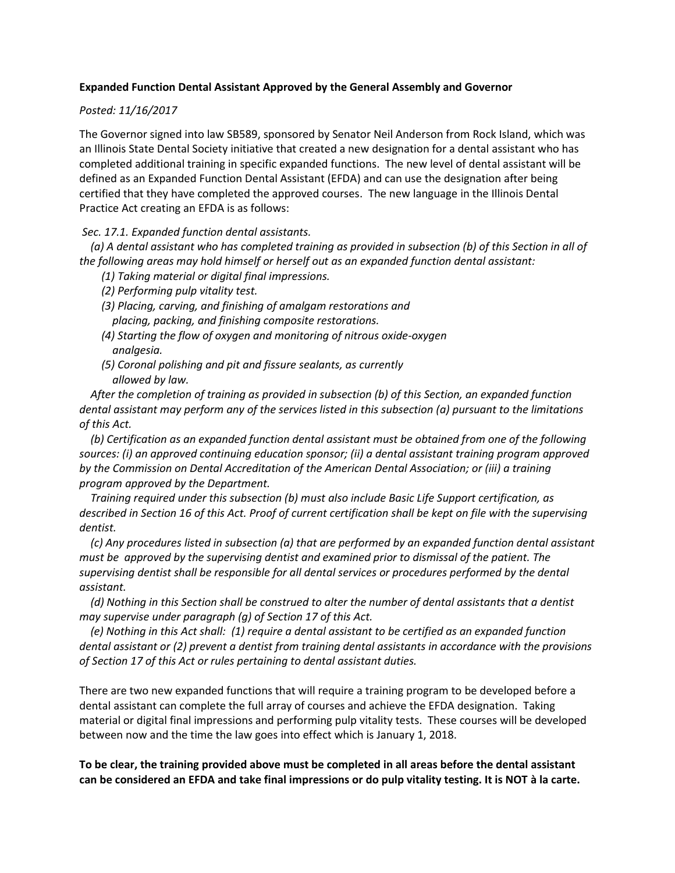## **Expanded Function Dental Assistant Approved by the General Assembly and Governor**

## *Posted: 11/16/2017*

The Governor signed into law SB589, sponsored by Senator Neil Anderson from Rock Island, which was an Illinois State Dental Society initiative that created a new designation for a dental assistant who has completed additional training in specific expanded functions. The new level of dental assistant will be defined as an Expanded Function Dental Assistant (EFDA) and can use the designation after being certified that they have completed the approved courses. The new language in the Illinois Dental Practice Act creating an EFDA is as follows:

## *Sec. 17.1. Expanded function dental assistants.*

 *(a) A dental assistant who has completed training as provided in subsection (b) of this Section in all of the following areas may hold himself or herself out as an expanded function dental assistant:*

- *(1) Taking material or digital final impressions.*
- *(2) Performing pulp vitality test.*
- *(3) Placing, carving, and finishing of amalgam restorations and placing, packing, and finishing composite restorations.*
- *(4) Starting the flow of oxygen and monitoring of nitrous oxide-oxygen analgesia.*
- *(5) Coronal polishing and pit and fissure sealants, as currently allowed by law.*

 *After the completion of training as provided in subsection (b) of this Section, an expanded function dental assistant may perform any of the services listed in this subsection (a) pursuant to the limitations of this Act.* 

 *(b) Certification as an expanded function dental assistant must be obtained from one of the following sources: (i) an approved continuing education sponsor; (ii) a dental assistant training program approved by the Commission on Dental Accreditation of the American Dental Association; or (iii) a training program approved by the Department.*

 *Training required under this subsection (b) must also include Basic Life Support certification, as described in Section 16 of this Act. Proof of current certification shall be kept on file with the supervising dentist.* 

 *(c) Any procedures listed in subsection (a) that are performed by an expanded function dental assistant must be approved by the supervising dentist and examined prior to dismissal of the patient. The supervising dentist shall be responsible for all dental services or procedures performed by the dental assistant.* 

 *(d) Nothing in this Section shall be construed to alter the number of dental assistants that a dentist may supervise under paragraph (g) of Section 17 of this Act.* 

 *(e) Nothing in this Act shall: (1) require a dental assistant to be certified as an expanded function dental assistant or (2) prevent a dentist from training dental assistants in accordance with the provisions of Section 17 of this Act or rules pertaining to dental assistant duties.* 

There are two new expanded functions that will require a training program to be developed before a dental assistant can complete the full array of courses and achieve the EFDA designation. Taking material or digital final impressions and performing pulp vitality tests. These courses will be developed between now and the time the law goes into effect which is January 1, 2018.

**To be clear, the training provided above must be completed in all areas before the dental assistant can be considered an EFDA and take final impressions or do pulp vitality testing. It is NOT à la carte.**